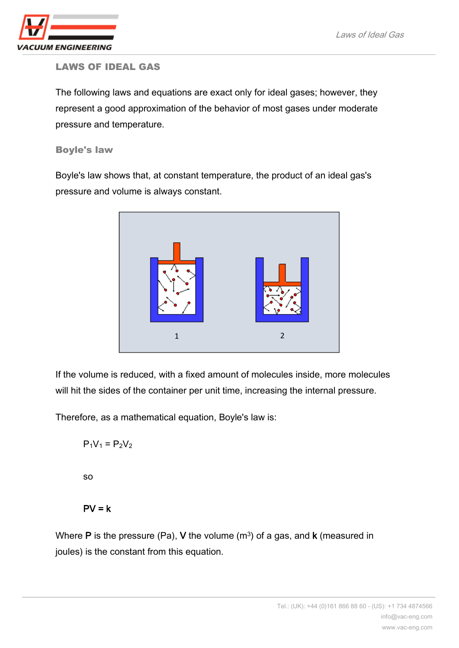

## LAWS OF IDEAL GAS

The following laws and equations are exact only for [ideal gase](http://en.wikipedia.org/wiki/Ideal_gas)s; however, they represent a good approximation of the behavior of most gases under moderate pressure and temperature.

Boyle's law

Boyle's law shows that, at constant temperature, the product of an ideal gas's pressure and volume is always constant.



If the volume is reduced, with a fixed amount of molecules inside, more molecules will hit the sides of the container per unit time, increasing the internal pressure.

Therefore, as a mathematical equation, Boyle's law is:

$$
P_1V_1 = P_2V_2
$$

so

$$
PV = k
$$

Where P is the pressure (Pa), V the volume  $(m<sup>3</sup>)$  of a gas, and k (measured in joules) is the constant from this equation.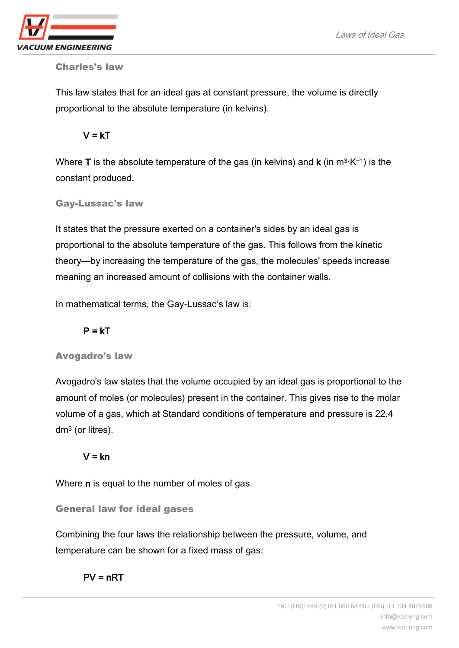

Charles's law

This law states that for an ideal gas at constant pressure, the volume is directly proportional to the absolute temperature (in kelvins).

 $V = kT$ 

Where **T** is the absolute temperature of the gas (in kelvins) and **k** (in m<sup>3</sup>·K<sup>-1</sup>) is the constant produced.

Gay-Lussac's law

It states that the pressure exerted on a container's sides by an ideal gas is proportional to the absolute temperature of the gas. This follows from the kinetic theory—by increasing the temperature of the gas, the molecules' speeds increase meaning an increased amount of collisions with the container walls.

In mathematical terms, the Gay-Lussac's law is:

 $P = kT$ 

# Avogadro's law

Avogadro's law states that the volume occupied by an ideal gas is proportional to the amount of [moles](http://en.wikipedia.org/wiki/Mole_(unit)) (or molecules) present in the container. This gives rise to the [molar](http://en.wikipedia.org/wiki/Molar_volume)  [volume](http://en.wikipedia.org/wiki/Molar_volume) of a gas, which at Standard conditions of temperature and pressure is 22.4 dm<sup>3</sup> (or [litres\)](http://en.wikipedia.org/wiki/Litres).

# $V = kn$

Where **n** is equal to the number of moles of gas.

General law for ideal gases

Combining the four laws the relationship between the pressure, volume, and temperature can be shown for a fixed mass of gas:

 $PV = nRT$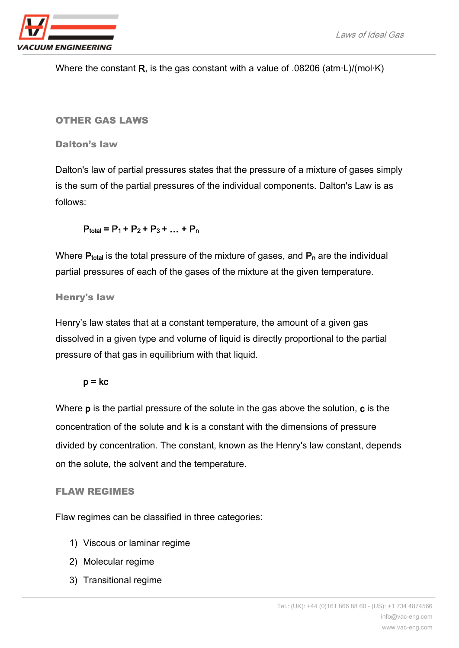

Where the constant R, is the gas constant with a value of .08206 (atm·L)/(mol·K)

### OTHER GAS LAWS

Dalton's law

Dalton's law of partial pressures states that the pressure of a mixture of gases simply is the sum of the partial pressures of the individual components. Dalton's Law is as follows:

 $P_{total} = P_1 + P_2 + P_3 + ... + P_n$ 

Where  $P_{total}$  is the total pressure of the mixture of gases, and  $P_n$  are the individual partial pressures of each of the gases of the mixture at the given temperature.

## Henry's law

Henry's law states that at a constant temperature, the amount of a given gas dissolved in a given type and volume of liquid is directly proportional to the partial pressure of that gas in equilibrium with that liquid.

# $p = kc$

Where **p** is the partial pressure of the solute in the gas above the solution, **c** is the concentration of the solute and k is a constant with the dimensions of pressure divided by concentration. The constant, known as the Henry's law constant, depends on the solute, the solvent and the temperature.

#### FLAW REGIMES

Flaw regimes can be classified in three categories:

- 1) Viscous or laminar regime
- 2) Molecular regime
- 3) Transitional regime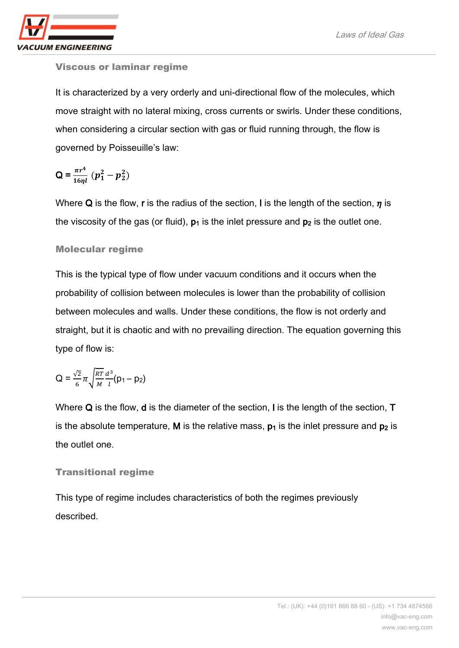

## Viscous or laminar regime

It is characterized by a very orderly and uni-directional flow of the molecules, which move straight with no lateral mixing, cross currents or swirls. Under these conditions, when considering a circular section with gas or fluid running through, the flow is governed by Poisseuille's law:

$$
Q = \frac{\pi r^4}{16\eta l} (p_1^2 - p_2^2)
$$

Where Q is the flow, r is the radius of the section, I is the length of the section,  $\eta$  is the viscosity of the gas (or fluid),  $p_1$  is the inlet pressure and  $p_2$  is the outlet one.

## Molecular regime

This is the typical type of flow under vacuum conditions and it occurs when the probability of collision between molecules is lower than the probability of collision between molecules and walls. Under these conditions, the flow is not orderly and straight, but it is chaotic and with no prevailing direction. The equation governing this type of flow is:

$$
Q=\frac{\sqrt{2}}{6}\pi\sqrt{\frac{RT}{M}}\frac{d^3}{l}(p_1-p_2)
$$

Where Q is the flow, **d** is the diameter of the section, I is the length of the section, **T** is the absolute temperature, M is the relative mass,  $p_1$  is the inlet pressure and  $p_2$  is the outlet one.

# Transitional regime

This type of regime includes characteristics of both the regimes previously described.